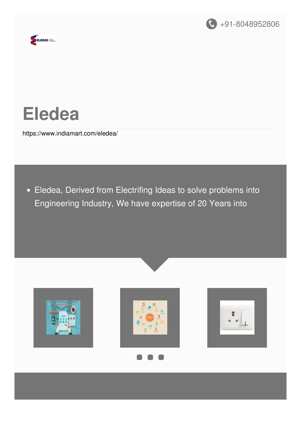



# **Eledea**

<https://www.indiamart.com/eledea/>

Eledea, Derived from Electrifing Ideas to solve problems into Engineering Industry, We have expertise of 20 Years into









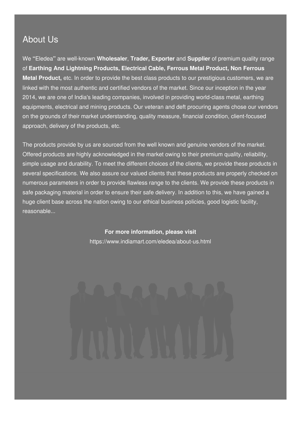#### About Us

We **"**Eledea**"** are well-known **Wholesaler**, **Trader, Exporter** and **Supplier** of premium quality range of **Earthing And Lightning Products, Electrical Cable, Ferrous Metal Product, Non Ferrous Metal Product,** etc. In order to provide the best class products to our prestigious customers, we are linked with the most authentic and certified vendors of the market. Since our inception in the year 2014, we are one of India's leading companies, involved in providing world-class metal, earthing equipments, electrical and mining products. Our veteran and deft procuring agents chose our vendors on the grounds of their market understanding, quality measure, financial condition, client-focused approach, delivery of the products, etc.

The products provide by us are sourced from the well known and genuine vendors of the market. Offered products are highly acknowledged in the market owing to their premium quality, reliability, simple usage and durability. To meet the different choices of the clients, we provide these products in several specifications. We also assure our valued clients that these products are properly checked on numerous parameters in order to provide flawless range to the clients. We provide these products in safe packaging material in order to ensure their safe delivery. In addition to this, we have gained a huge client base across the nation owing to our ethical business policies, good logistic facility, reasonable...

#### **For more information, please visit**

<https://www.indiamart.com/eledea/about-us.html>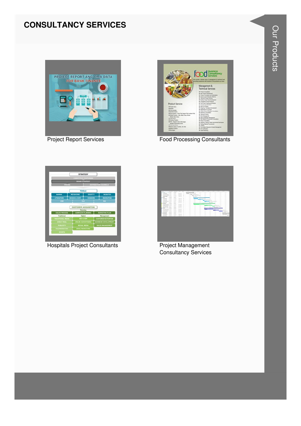#### **CONSULTANCY SERVICES**





**Food Processing Consultants** 



**Hospitals Project Consultants** 



**Project Management Consultancy Services**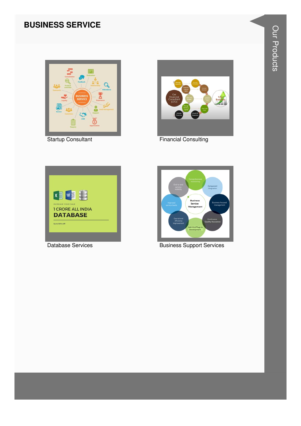#### **BUSINESS SERVICE**



**Startup Consultant** 



**Financial Consulting** 



**Database Services** 



**Business Support Services**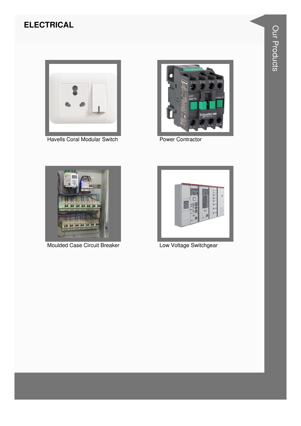#### **ELECTRICAL**



**Havells Coral Modular Switch** 



**Power Contractor** 



**Moulded Case Circuit Breaker** 



Low Voltage Switchgear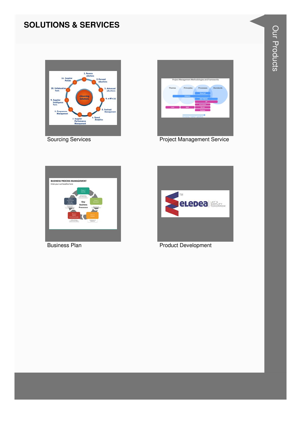#### **SOLUTIONS & SERVICES**



**Sourcing Services** 



**Project Management Service** 



**Business Plan** 

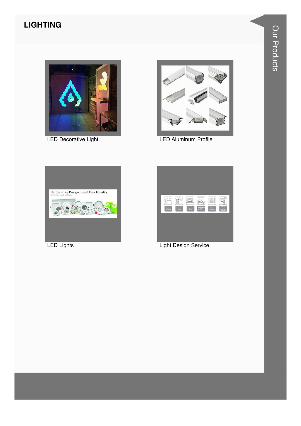### **LIGHTING**



LED Decorative Light



**LED Aluminum Profile** 



**LED Lights** 

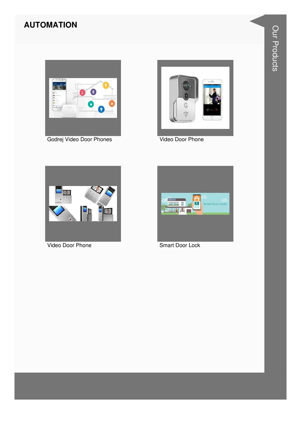#### **AUTOMATION**





Video Door Phone



Video Door Phone

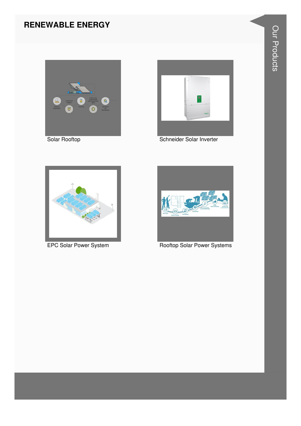#### **RENEWABLE ENERGY**







Schneider Solar Inverter



**EPC Solar Power System** 



**Rooftop Solar Power Systems**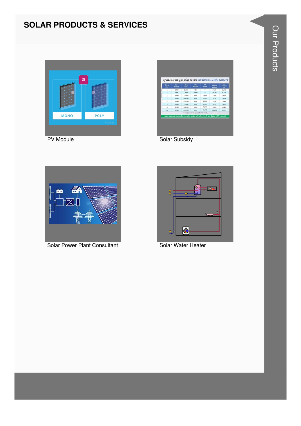#### **SOLAR PRODUCTS & SERVICES**



| <b>Bobbs</b><br><b>BRAS</b> | $g_{\text{M}}$<br><b>Bobble</b> | am<br><b>Bas</b>                                                                   | 40%<br>$-0.0$ | <b>xv</b><br>m(4.0) | m<br>100001<br><b>energicial</b> | w<br><b><i><u>NINNIK</u></i></b><br><b>Jane</b> |
|-----------------------------|---------------------------------|------------------------------------------------------------------------------------|---------------|---------------------|----------------------------------|-------------------------------------------------|
| ä                           | 43,993                          | 85,587                                                                             | 34,394        | $\sim$              | 34, 294                          | \$1,593                                         |
| x                           | 41,991                          | 1,25,975                                                                           | 50,390        | $\sim$              | 50,390                           | <b>PE.SRS</b>                                   |
| $\ddot{\phantom{a}}$        | 40,993                          | 1,63,972                                                                           | 49,191        | 7,870               | \$7,068                          | 1,06,973                                        |
| 1                           | 40,993                          | 2.04.966                                                                           | 49,791        | 15, 587             | 65,178                           | 1,39,768                                        |
| ٠                           | 40,993                          | 2,45,939                                                                           | 49,191        | 34,934              | 73,795                           | 1,72,663                                        |
| ×                           | 40,993                          | 3,27,945                                                                           | 49,191        | 40,317              | 59,528                           | 2,38,417                                        |
| ٠                           | 40,993                          | 3,68,938                                                                           | 49,591        | 48,413              | 97,644                           | 2,71,294                                        |
| 30                          | 40,993                          | 4.09.952                                                                           | 49,191        | 56,539              | 1,05,761                         | 8,04,179                                        |
|                             |                                 | અરજી કરવા માટે લાઈટબીલ, વેરાબીલ, આધારકાર્ડ, કોટા દરેકની ત્રણ ઝેરોફા લઈને રૂબર મળી. |               |                     |                                  |                                                 |

Solar Subsidy



Solar Power Plant Consultant



Solar Water Heater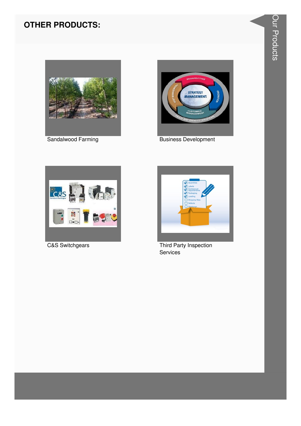#### **OTHER PRODUCTS:**



Sandalwood Farming



**Business Development** 



**C&S Switchgears** 



Third Party Inspection Services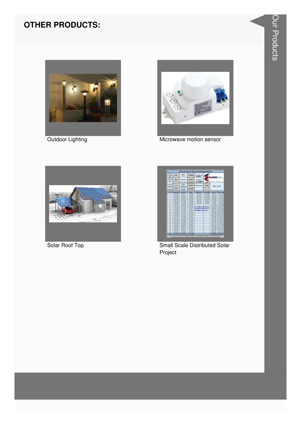#### **OTHER PRODUCTS:**



Outdoor Lighting



Microwave motion sensor



Solar Roof Top



**Small Scale Distributed Solar** Project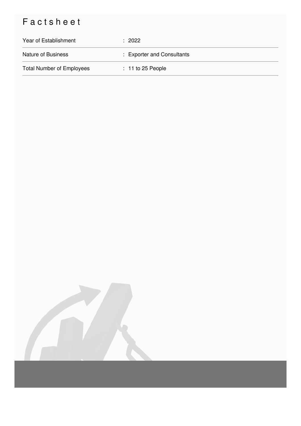## Factsheet

| Year of Establishment            | $\therefore$ 2022          |
|----------------------------------|----------------------------|
| <b>Nature of Business</b>        | : Exporter and Consultants |
| <b>Total Number of Employees</b> | $: 11$ to 25 People        |